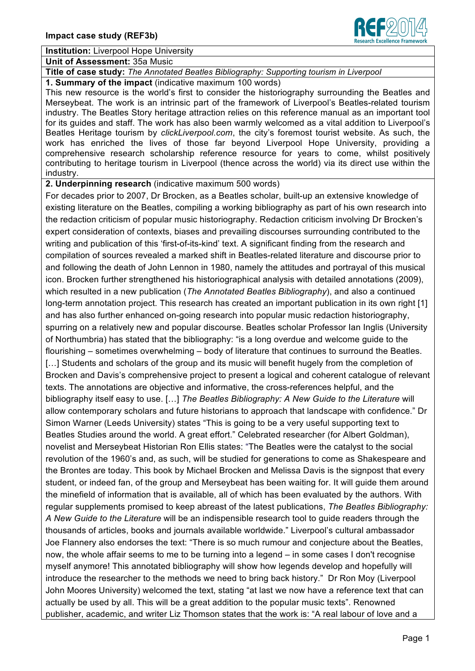

#### **Institution:** Liverpool Hope University

**Unit of Assessment:** 35a Music

# **Title of case study:** *The Annotated Beatles Bibliography: Supporting tourism in Liverpool*

**1. Summary of the impact** (indicative maximum 100 words)

This new resource is the world's first to consider the historiography surrounding the Beatles and Merseybeat. The work is an intrinsic part of the framework of Liverpool's Beatles-related tourism industry. The Beatles Story heritage attraction relies on this reference manual as an important tool for its guides and staff. The work has also been warmly welcomed as a vital addition to Liverpool's Beatles Heritage tourism by *clickLiverpool.com*, the city's foremost tourist website. As such, the work has enriched the lives of those far beyond Liverpool Hope University, providing a comprehensive research scholarship reference resource for years to come, whilst positively contributing to heritage tourism in Liverpool (thence across the world) via its direct use within the industry.

**2. Underpinning research** (indicative maximum 500 words)

For decades prior to 2007, Dr Brocken, as a Beatles scholar, built-up an extensive knowledge of existing literature on the Beatles, compiling a working bibliography as part of his own research into the redaction criticism of popular music historiography. Redaction criticism involving Dr Brocken's expert consideration of contexts, biases and prevailing discourses surrounding contributed to the writing and publication of this 'first-of-its-kind' text. A significant finding from the research and compilation of sources revealed a marked shift in Beatles-related literature and discourse prior to and following the death of John Lennon in 1980, namely the attitudes and portrayal of this musical icon. Brocken further strengthened his historiographical analysis with detailed annotations (2009), which resulted in a new publication (*The Annotated Beatles Bibliography*), and also a continued long-term annotation project. This research has created an important publication in its own right [1] and has also further enhanced on-going research into popular music redaction historiography, spurring on a relatively new and popular discourse. Beatles scholar Professor Ian Inglis (University of Northumbria) has stated that the bibliography: "is a long overdue and welcome guide to the flourishing – sometimes overwhelming – body of literature that continues to surround the Beatles. [...] Students and scholars of the group and its music will benefit hugely from the completion of Brocken and Davis's comprehensive project to present a logical and coherent catalogue of relevant texts. The annotations are objective and informative, the cross-references helpful, and the bibliography itself easy to use. […] *The Beatles Bibliography: A New Guide to the Literature* will allow contemporary scholars and future historians to approach that landscape with confidence." Dr Simon Warner (Leeds University) states "This is going to be a very useful supporting text to Beatles Studies around the world. A great effort." Celebrated researcher (for Albert Goldman), novelist and Merseybeat Historian Ron Ellis states: "The Beatles were the catalyst to the social revolution of the 1960's and, as such, will be studied for generations to come as Shakespeare and the Brontes are today. This book by Michael Brocken and Melissa Davis is the signpost that every student, or indeed fan, of the group and Merseybeat has been waiting for. It will guide them around the minefield of information that is available, all of which has been evaluated by the authors. With regular supplements promised to keep abreast of the latest publications, *The Beatles Bibliography: A New Guide to the Literature* will be an indispensible research tool to guide readers through the thousands of articles, books and journals available worldwide." Liverpool's cultural ambassador Joe Flannery also endorses the text: "There is so much rumour and conjecture about the Beatles, now, the whole affair seems to me to be turning into a legend – in some cases I don't recognise myself anymore! This annotated bibliography will show how legends develop and hopefully will introduce the researcher to the methods we need to bring back history." Dr Ron Moy (Liverpool John Moores University) welcomed the text, stating "at last we now have a reference text that can actually be used by all. This will be a great addition to the popular music texts". Renowned publisher, academic, and writer Liz Thomson states that the work is: "A real labour of love and a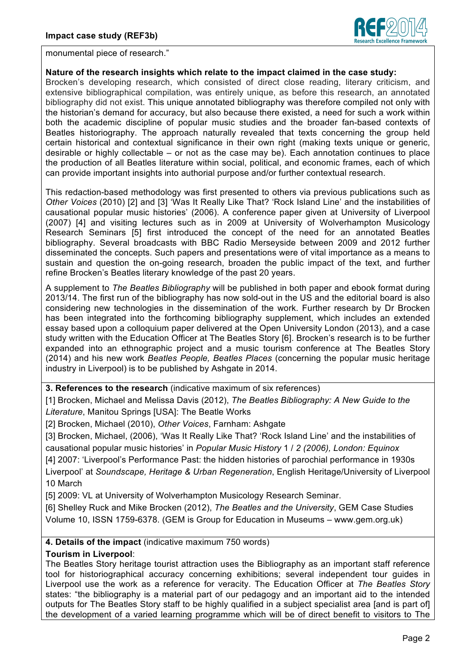

monumental piece of research."

### **Nature of the research insights which relate to the impact claimed in the case study:**

Brocken's developing research, which consisted of direct close reading, literary criticism, and extensive bibliographical compilation, was entirely unique, as before this research, an annotated bibliography did not exist. This unique annotated bibliography was therefore compiled not only with the historian's demand for accuracy, but also because there existed, a need for such a work within both the academic discipline of popular music studies and the broader fan-based contexts of Beatles historiography. The approach naturally revealed that texts concerning the group held certain historical and contextual significance in their own right (making texts unique or generic, desirable or highly collectable – or not as the case may be). Each annotation continues to place the production of all Beatles literature within social, political, and economic frames, each of which can provide important insights into authorial purpose and/or further contextual research.

This redaction-based methodology was first presented to others via previous publications such as *Other Voices* (2010) [2] and [3] 'Was It Really Like That? 'Rock Island Line' and the instabilities of causational popular music histories' (2006). A conference paper given at University of Liverpool (2007) [4] and visiting lectures such as in 2009 at University of Wolverhampton Musicology Research Seminars [5] first introduced the concept of the need for an annotated Beatles bibliography. Several broadcasts with BBC Radio Merseyside between 2009 and 2012 further disseminated the concepts. Such papers and presentations were of vital importance as a means to sustain and question the on-going research, broaden the public impact of the text, and further refine Brocken's Beatles literary knowledge of the past 20 years.

A supplement to *The Beatles Bibliography* will be published in both paper and ebook format during 2013/14. The first run of the bibliography has now sold-out in the US and the editorial board is also considering new technologies in the dissemination of the work. Further research by Dr Brocken has been integrated into the forthcoming bibliography supplement, which includes an extended essay based upon a colloquium paper delivered at the Open University London (2013), and a case study written with the Education Officer at The Beatles Story [6]. Brocken's research is to be further expanded into an ethnographic project and a music tourism conference at The Beatles Story (2014) and his new work *Beatles People, Beatles Places* (concerning the popular music heritage industry in Liverpool) is to be published by Ashgate in 2014.

**3. References to the research** (indicative maximum of six references)

[1] Brocken, Michael and Melissa Davis (2012), *The Beatles Bibliography: A New Guide to the Literature*, Manitou Springs [USA]: The Beatle Works

[2] Brocken, Michael (2010), *Other Voices*, Farnham: Ashgate

[3] Brocken, Michael, (2006), 'Was It Really Like That? 'Rock Island Line' and the instabilities of causational popular music histories' in *Popular Music History* 1 / *2 (2006), London: Equinox* [4] 2007: 'Liverpool's Performance Past: the hidden histories of parochial performance in 1930s Liverpool' at *Soundscape, Heritage & Urban Regeneration*, English Heritage/University of Liverpool 10 March

[5] 2009: VL at University of Wolverhampton Musicology Research Seminar.

[6] Shelley Ruck and Mike Brocken (2012), *The Beatles and the University*, GEM Case Studies Volume 10, ISSN 1759-6378. (GEM is Group for Education in Museums – www.gem.org.uk)

## **4. Details of the impact** (indicative maximum 750 words)

## **Tourism in Liverpool**:

The Beatles Story heritage tourist attraction uses the Bibliography as an important staff reference tool for historiographical accuracy concerning exhibitions; several independent tour guides in Liverpool use the work as a reference for veracity. The Education Officer at *The Beatles Story* states: "the bibliography is a material part of our pedagogy and an important aid to the intended outputs for The Beatles Story staff to be highly qualified in a subject specialist area [and is part of] the development of a varied learning programme which will be of direct benefit to visitors to The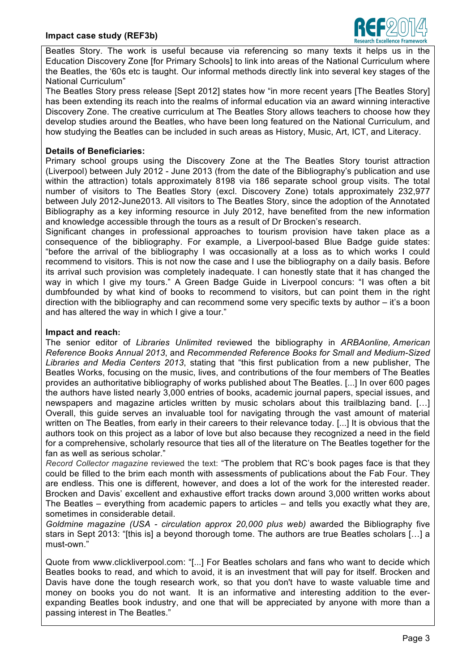

Beatles Story. The work is useful because via referencing so many texts it helps us in the Education Discovery Zone [for Primary Schools] to link into areas of the National Curriculum where the Beatles, the '60s etc is taught. Our informal methods directly link into several key stages of the National Curriculum"

The Beatles Story press release [Sept 2012] states how "in more recent years [The Beatles Story] has been extending its reach into the realms of informal education via an award winning interactive Discovery Zone. The creative curriculum at The Beatles Story allows teachers to choose how they develop studies around the Beatles, who have been long featured on the National Curriculum, and how studying the Beatles can be included in such areas as History, Music, Art, ICT, and Literacy.

### **Details of Beneficiaries:**

Primary school groups using the Discovery Zone at the The Beatles Story tourist attraction (Liverpool) between July 2012 - June 2013 (from the date of the Bibliography's publication and use within the attraction) totals approximately 8198 via 186 separate school group visits. The total number of visitors to The Beatles Story (excl. Discovery Zone) totals approximately 232,977 between July 2012-June2013. All visitors to The Beatles Story, since the adoption of the Annotated Bibliography as a key informing resource in July 2012, have benefited from the new information and knowledge accessible through the tours as a result of Dr Brocken's research.

Significant changes in professional approaches to tourism provision have taken place as a consequence of the bibliography. For example, a Liverpool-based Blue Badge guide states: "before the arrival of the bibliography I was occasionally at a loss as to which works I could recommend to visitors. This is not now the case and I use the bibliography on a daily basis. Before its arrival such provision was completely inadequate. I can honestly state that it has changed the way in which I give my tours." A Green Badge Guide in Liverpool concurs: "I was often a bit dumbfounded by what kind of books to recommend to visitors, but can point them in the right direction with the bibliography and can recommend some very specific texts by author – it's a boon and has altered the way in which I give a tour."

### **Impact and reach:**

The senior editor of *Libraries Unlimited* reviewed the bibliography in *ARBAonline, American Reference Books Annual 2013*, and *Recommended Reference Books for Small and Medium-Sized Libraries and Media Centers 2013*, stating that "this first publication from a new publisher, The Beatles Works, focusing on the music, lives, and contributions of the four members of The Beatles provides an authoritative bibliography of works published about The Beatles. [...] In over 600 pages the authors have listed nearly 3,000 entries of books, academic journal papers, special issues, and newspapers and magazine articles written by music scholars about this trailblazing band. […] Overall, this guide serves an invaluable tool for navigating through the vast amount of material written on The Beatles, from early in their careers to their relevance today. [...] It is obvious that the authors took on this project as a labor of love but also because they recognized a need in the field for a comprehensive, scholarly resource that ties all of the literature on The Beatles together for the fan as well as serious scholar."

*Record Collector magazine* reviewed the text: "The problem that RC's book pages face is that they could be filled to the brim each month with assessments of publications about the Fab Four. They are endless. This one is different, however, and does a lot of the work for the interested reader. Brocken and Davis' excellent and exhaustive effort tracks down around 3,000 written works about The Beatles – everything from academic papers to articles – and tells you exactly what they are, sometimes in considerable detail.

*Goldmine magazine (USA - circulation approx 20,000 plus web)* awarded the Bibliography five stars in Sept 2013: "[this is] a beyond thorough tome. The authors are true Beatles scholars […] a must-own."

Quote from www.clickliverpool.com: "[...] For Beatles scholars and fans who want to decide which Beatles books to read, and which to avoid, it is an investment that will pay for itself. Brocken and Davis have done the tough research work, so that you don't have to waste valuable time and money on books you do not want. It is an informative and interesting addition to the everexpanding Beatles book industry, and one that will be appreciated by anyone with more than a passing interest in The Beatles."